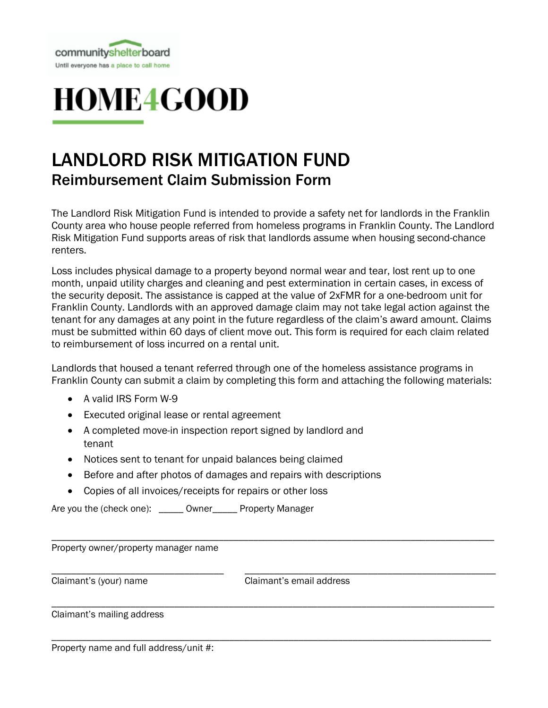



## LANDLORD RISK MITIGATION FUND Reimbursement Claim Submission Form

The Landlord Risk Mitigation Fund is intended to provide a safety net for landlords in the Franklin County area who house people referred from homeless programs in Franklin County. The Landlord Risk Mitigation Fund supports areas of risk that landlords assume when housing second-chance renters.

Loss includes physical damage to a property beyond normal wear and tear, lost rent up to one month, unpaid utility charges and cleaning and pest extermination in certain cases, in excess of the security deposit. The assistance is capped at the value of 2xFMR for a one-bedroom unit for Franklin County. Landlords with an approved damage claim may not take legal action against the tenant for any damages at any point in the future regardless of the claim's award amount. Claims must be submitted within 60 days of client move out. This form is required for each claim related to reimbursement of loss incurred on a rental unit.

Landlords that housed a tenant referred through one of the homeless assistance programs in Franklin County can submit a claim by completing this form and attaching the following materials:

- A valid IRS Form W-9
- Executed original lease or rental agreement
- A completed move-in inspection report signed by landlord and tenant
- Notices sent to tenant for unpaid balances being claimed
- Before and after photos of damages and repairs with descriptions
- Copies of all invoices/receipts for repairs or other loss

Are you the (check one): \_\_\_\_\_\_ Owner \_\_\_\_\_ Property Manager

Property owner/property manager name

\_\_\_\_\_\_\_\_\_\_\_\_\_\_\_\_\_\_\_\_\_\_\_\_\_\_\_\_\_\_\_\_\_\_\_ \_\_\_\_\_\_\_\_\_\_\_\_\_\_\_\_\_\_\_\_\_\_\_\_\_\_\_\_\_\_\_\_\_\_\_\_\_\_\_\_\_\_\_\_\_\_\_\_\_\_\_ Claimant's (your) name Claimant's email address

\_\_\_\_\_\_\_\_\_\_\_\_\_\_\_\_\_\_\_\_\_\_\_\_\_\_\_\_\_\_\_\_\_\_\_\_\_\_\_\_\_\_\_\_\_\_\_\_\_\_\_\_\_\_\_\_\_\_\_\_\_\_\_\_\_\_\_\_\_\_\_\_\_\_\_\_\_\_\_\_\_\_\_\_\_\_\_\_\_\_

\_\_\_\_\_\_\_\_\_\_\_\_\_\_\_\_\_\_\_\_\_\_\_\_\_\_\_\_\_\_\_\_\_\_\_\_\_\_\_\_\_\_\_\_\_\_\_\_\_\_\_\_\_\_\_\_\_\_\_\_\_\_\_\_\_\_\_\_\_\_\_\_\_\_\_\_\_\_\_\_\_\_\_\_\_\_\_\_\_\_

\_\_\_\_\_\_\_\_\_\_\_\_\_\_\_\_\_\_\_\_\_\_\_\_\_\_\_\_\_\_\_\_\_\_\_\_\_\_\_\_\_\_\_\_\_\_\_\_\_\_\_\_\_\_\_\_\_\_\_\_\_\_\_\_\_\_\_\_\_\_\_\_\_\_\_\_\_\_\_\_\_\_\_\_\_\_\_\_\_

Claimant's mailing address

Property name and full address/unit #: